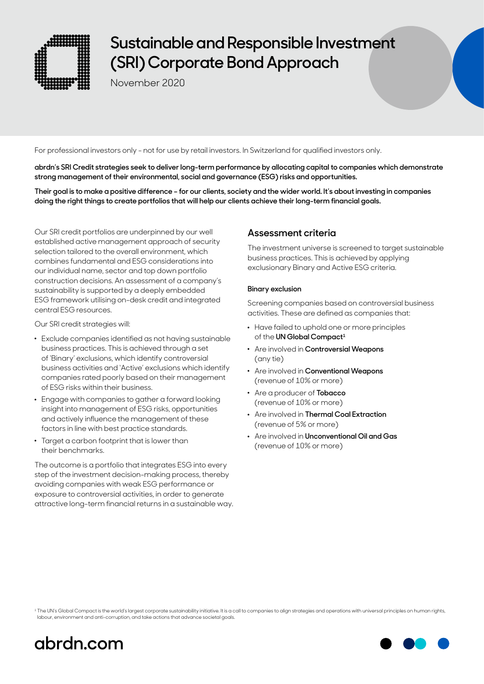

# **Sustainable and Responsible Investment (SRI) Corporate Bond Approach**

November 2020

For professional investors only - not for use by retail investors. In Switzerland for qualified investors only.

**abrdn's SRI Credit strategies seek to deliver long-term performance by allocating capital to companies which demonstrate strong management of their environmental, social and governance (ESG) risks and opportunities.**

**Their goal is to make a positive difference – for our clients, society and the wider world. It's about investing in companies doing the right things to create portfolios that will help our clients achieve their long-term financial goals.**

Our SRI credit portfolios are underpinned by our well established active management approach of security selection tailored to the overall environment, which combines fundamental and ESG considerations into our individual name, sector and top down portfolio construction decisions. An assessment of a company's sustainability is supported by a deeply embedded ESG framework utilising on-desk credit and integrated central ESG resources.

Our SRI credit strategies will:

- . Exclude companies identified as not having sustainable business practices. This is achieved through a set of 'Binary' exclusions, which identify controversial business activities and 'Active' exclusions which identify companies rated poorly based on their management of ESG risks within their business.
- . Engage with companies to gather a forward looking insight into management of ESG risks, opportunities and actively influence the management of these factors in line with best practice standards.
- . Target a carbon footprint that is lower than their benchmarks.

The outcome is a portfolio that integrates ESG into every step of the investment decision-making process, thereby avoiding companies with weak ESG performance or exposure to controversial activities, in order to generate attractive long-term financial returns in a sustainable way.

# **Assessment criteria**

The investment universe is screened to target sustainable business practices. This is achieved by applying exclusionary Binary and Active ESG criteria.

### **Binary exclusion**

Screening companies based on controversial business activities. These are defined as companies that:

- . Have failed to uphold one or more principles of the **UN Global Compact<sup>1</sup>**
- . Are involved in **Controversial Weapons** (any tie)
- . Are involved in **Conventional Weapons** (revenue of 10% or more)
- . Are a producer of **Tobacco** (revenue of 10% or more)
- . Are involved in **Thermal Coal Extraction** (revenue of 5% or more)
- . Are involved in **Unconventional Oil and Gas** (revenue of 10% or more)

<sup>1</sup> The UN's Global Compact is the world's largest corporate sustainability initiative. It is a call to companies to align strategies and operations with universal principles on human rights, labour, environment and anti-corruption, and take actions that advance societal goals.



# **[abrdn.com](http://www.abrdn.com)**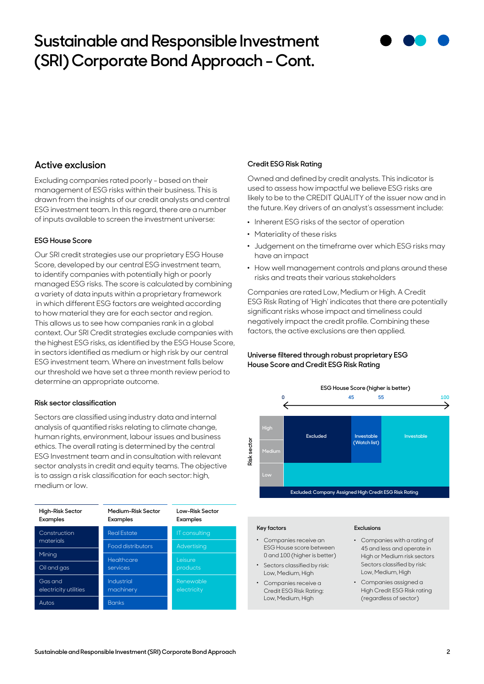# **Sustainable and Responsible Investment (SRI) Corporate Bond Approach - Cont.**



# **Active exclusion**

Excluding companies rated poorly - based on their management of ESG risks within their business. This is drawn from the insights of our credit analysts and central ESG investment team. In this regard, there are a number of inputs available to screen the investment universe:

### **ESG House Score**

Our SRI credit strategies use our proprietary ESG House Score, developed by our central ESG investment team, to identify companies with potentially high or poorly managed ESG risks. The score is calculated by combining a variety of data inputs within a proprietary framework in which different ESG factors are weighted according to how material they are for each sector and region. This allows us to see how companies rank in a global context. Our SRI Credit strategies exclude companies with the highest ESG risks, as identified by the ESG House Score, in sectors identified as medium or high risk by our central ESG investment team. Where an investment falls below our threshold we have set a three month review period to determine an appropriate outcome.

### **Risk sector classification**

Sectors are classified using industry data and internal analysis of quantified risks relating to climate change, human rights, environment, labour issues and business ethics. The overall rating is determined by the central ESG Investment team and in consultation with relevant sector analysts in credit and equity teams. The objective is to assign a risk classification for each sector: high, medium or low.

| High-Risk Sector<br><b>Examples</b> | Medium-Risk Sector<br>Examples | Low-Risk Sector<br><b>Examples</b> |
|-------------------------------------|--------------------------------|------------------------------------|
| Construction<br>materials           | <b>Real Estate</b>             | IT consulting                      |
|                                     | Food distributors              | Advertising                        |
| Mining                              | Healthcare                     | I eisure                           |
| Oil and gas                         | services                       | products                           |
| Gas and<br>electricity utilities    | Industrial<br>machinery        | Renewable<br>electricity           |
| Autos                               | <b>Banks</b>                   |                                    |

### **Credit ESG Risk Rating**

Owned and defined by credit analysts. This indicator is used to assess how impactful we believe ESG risks are likely to be to the CREDIT QUALITY of the issuer now and in the future. Key drivers of an analyst's assessment include:

- . Inherent ESG risks of the sector of operation
- . Materiality of these risks
- . Judgement on the timeframe over which ESG risks may have an impact
- . How well management controls and plans around these risks and treats their various stakeholders

Companies are rated Low, Medium or High. A Credit ESG Risk Rating of 'High' indicates that there are potentially significant risks whose impact and timeliness could negatively impact the credit profile. Combining these factors, the active exclusions are then applied.

## **Universe filtered through robust proprietary ESG House Score and Credit ESG Risk Rating**



#### **Key factors**

- . Companies receive an ESG House score between 0 and 100 (higher is better)
- . Sectors classified by risk: Low, Medium, High
- . Companies receive a Credit ESG Risk Rating: Low, Medium, High

#### **Exclusions**

- . Companies with a rating of 45 and less and operate in High or Medium risk sectors Sectors classified by risk: Low, Medium, High
- . Companies assigned a High Credit ESG Risk rating (regardless of sector)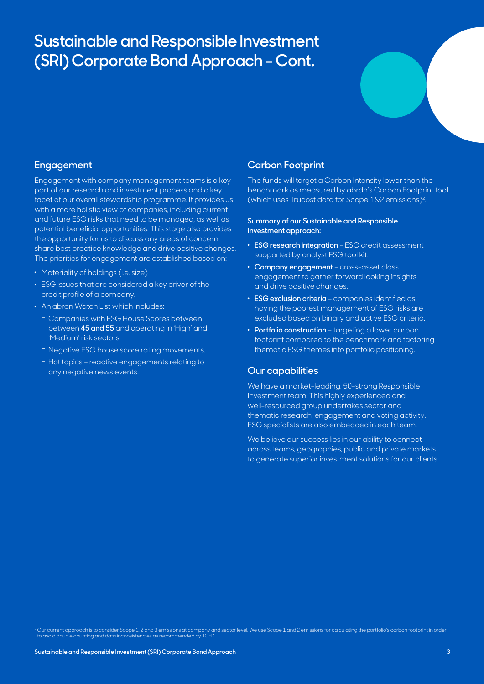# **Sustainable and Responsible Investment (SRI) Corporate Bond Approach - Cont.**



## **Engagement**

Engagement with company management teams is a key part of our research and investment process and a key facet of our overall stewardship programme. It provides us with a more holistic view of companies, including current and future ESG risks that need to be managed, as well as potential beneficial opportunities. This stage also provides the opportunity for us to discuss any areas of concern, share best practice knowledge and drive positive changes. The priorities for engagement are established based on:

- Materiality of holdings (i.e. size)
- . ESG issues that are considered a key driver of the credit profile of a company.
- . An abrdn Watch List which includes:
	- **–** Companies with ESG House Scores between between **45 and 55** and operating in 'High' and 'Medium' risk sectors.
	- **–** Negative ESG house score rating movements.
	- **–** Hot topics reactive engagements relating to any negative news events.

## **Carbon Footprint**

The funds will target a Carbon Intensity lower than the benchmark as measured by abrdn's Carbon Footprint tool (which uses Trucost data for Scope 1&2 emissions)2.

### **Summary of our Sustainable and Responsible Investment approach:**

- . **ESG research integration** ESG credit assessment supported by analyst ESG tool kit.
- . **Company engagement** cross-asset class engagement to gather forward looking insights and drive positive changes.
- . **ESG exclusion criteria** companies identified as having the poorest management of ESG risks are excluded based on binary and active ESG criteria.
- . **Portfolio construction** targeting a lower carbon footprint compared to the benchmark and factoring thematic ESG themes into portfolio positioning.

## **Our capabilities**

We have a market-leading, 50-strong Responsible Investment team. This highly experienced and well-resourced group undertakes sector and thematic research, engagement and voting activity. ESG specialists are also embedded in each team.

We believe our success lies in our ability to connect across teams, geographies, public and private markets to generate superior investment solutions for our clients.

<sup>2</sup> Our current approach is to consider Scope 1, 2 and 3 emissions at company and sector level. We use Scope 1 and 2 emissions for calculating the portfolio's carbon footprint in order<br>to avoid double counting and data inc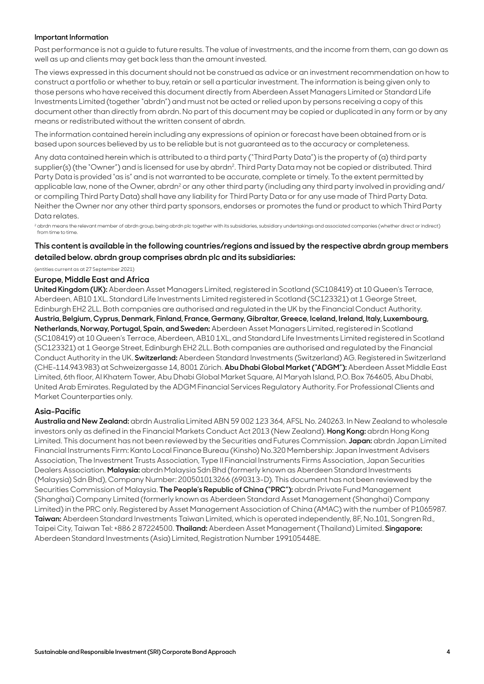#### **Important Information**

Past performance is not a guide to future results. The value of investments, and the income from them, can go down as well as up and clients may get back less than the amount invested.

The views expressed in this document should not be construed as advice or an investment recommendation on how to construct a portfolio or whether to buy, retain or sell a particular investment. The information is being given only to those persons who have received this document directly from Aberdeen Asset Managers Limited or Standard Life Investments Limited (together "abrdn") and must not be acted or relied upon by persons receiving a copy of this document other than directly from abrdn. No part of this document may be copied or duplicated in any form or by any means or redistributed without the written consent of abrdn.

The information contained herein including any expressions of opinion or forecast have been obtained from or is based upon sources believed by us to be reliable but is not guaranteed as to the accuracy or completeness.

Any data contained herein which is attributed to a third party ("Third Party Data") is the property of (a) third party supplier(s) (the "Owner") and is licensed for use by abrdn<sup>2</sup>. Third Party Data may not be copied or distributed. Third Party Data is provided "as is" and is not warranted to be accurate, complete or timely. To the extent permitted by applicable law, none of the Owner, abrdn<sup>2</sup> or any other third party (including any third party involved in providing and/ or compiling Third Party Data) shall have any liability for Third Party Data or for any use made of Third Party Data. Neither the Owner nor any other third party sponsors, endorses or promotes the fund or product to which Third Party Data relates.

<sup>2</sup> abrdn means the relevant member of abrdn group, being abrdn plc together with its subsidiaries, subsidiary undertakings and associated companies (whether direct or indirect) from time to time.

## **This content is available in the following countries/regions and issued by the respective abrdn group members detailed below. abrdn group comprises abrdn plc and its subsidiaries:**

(entities current as at 27 September 2021)

### **Europe, Middle East and Africa**

**United Kingdom (UK):** Aberdeen Asset Managers Limited, registered in Scotland (SC108419) at 10 Queen's Terrace, Aberdeen, AB10 1XL. Standard Life Investments Limited registered in Scotland (SC123321) at 1 George Street, Edinburgh EH2 2LL. Both companies are authorised and regulated in the UK by the Financial Conduct Authority. **Austria, Belgium, Cyprus, Denmark, Finland, France, Germany, Gibraltar, Greece, Iceland, Ireland, Italy, Luxembourg, Netherlands, Norway, Portugal, Spain, and Sweden:** Aberdeen Asset Managers Limited, registered in Scotland (SC108419) at 10 Queen's Terrace, Aberdeen, AB10 1XL, and Standard Life Investments Limited registered in Scotland (SC123321) at 1 George Street, Edinburgh EH2 2LL. Both companies are authorised and regulated by the Financial Conduct Authority in the UK. **Switzerland:** Aberdeen Standard Investments (Switzerland) AG. Registered in Switzerland (CHE-114.943.983) at Schweizergasse 14, 8001 Zürich. **Abu Dhabi Global Market ("ADGM"):** Aberdeen Asset Middle East Limited, 6th floor, Al Khatem Tower, Abu Dhabi Global Market Square, Al Maryah Island, P.O. Box 764605, Abu Dhabi, United Arab Emirates. Regulated by the ADGM Financial Services Regulatory Authority. For Professional Clients and Market Counterparties only.

### **Asia-Pacific**

**Australia and New Zealand:** abrdn Australia Limited ABN 59 002 123 364, AFSL No. 240263. In New Zealand to wholesale investors only as defined in the Financial Markets Conduct Act 2013 (New Zealand). **Hong Kong:** abrdn Hong Kong Limited. This document has not been reviewed by the Securities and Futures Commission. **Japan:** abrdn Japan Limited Financial Instruments Firm: Kanto Local Finance Bureau (Kinsho) No.320 Membership: Japan Investment Advisers Association, The Investment Trusts Association, Type II Financial Instruments Firms Association, Japan Securities Dealers Association. **Malaysia:** abrdn Malaysia Sdn Bhd (formerly known as Aberdeen Standard Investments (Malaysia) Sdn Bhd), Company Number: 200501013266 (690313-D). This document has not been reviewed by the Securities Commission of Malaysia. **The People's Republic of China ("PRC"):** abrdn Private Fund Management (Shanghai) Company Limited (formerly known as Aberdeen Standard Asset Management (Shanghai) Company Limited) in the PRC only. Registered by Asset Management Association of China (AMAC) with the number of P1065987. **Taiwan:** Aberdeen Standard Investments Taiwan Limited, which is operated independently, 8F, No.101, Songren Rd., Taipei City, Taiwan Tel: +886 2 87224500. **Thailand:** Aberdeen Asset Management (Thailand) Limited. **Singapore:** Aberdeen Standard Investments (Asia) Limited, Registration Number 199105448E.